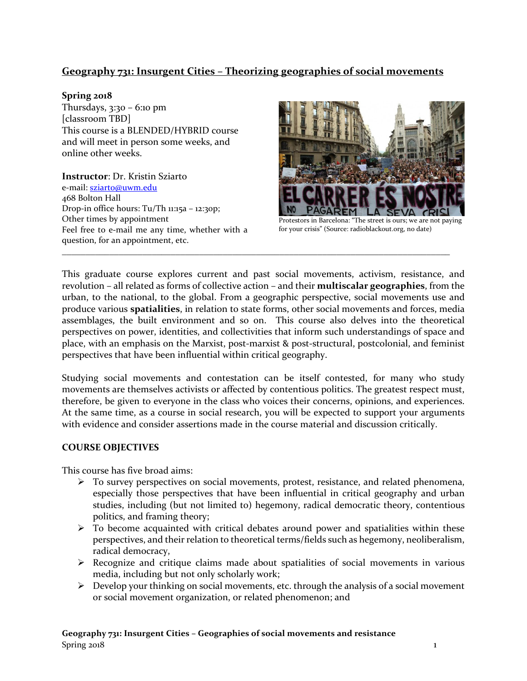# **Geography 731: Insurgent Cities – Theorizing geographies of social movements**

## **Spring 2018**

Thursdays, 3:30 – 6:10 pm [classroom TBD] This course is a BLENDED/HYBRID course and will meet in person some weeks, and online other weeks.

**Instructor**: Dr. Kristin Sziarto e-mail[: sziarto@uwm.edu](mailto:sziarto@uwm.edu) 468 Bolton Hall Drop-in office hours: Tu/Th 11:15a – 12:30p; Other times by appointment Feel free to e-mail me any time, whether with a question, for an appointment, etc.



Protestors in Barcelona: "The street is ours; we are not paying for your crisis" (Source: radioblackout.org, no date)

This graduate course explores current and past social movements, activism, resistance, and revolution – all related as forms of collective action – and their **multiscalar geographies**, from the urban, to the national, to the global. From a geographic perspective, social movements use and produce various **spatialities**, in relation to state forms, other social movements and forces, media assemblages, the built environment and so on. This course also delves into the theoretical perspectives on power, identities, and collectivities that inform such understandings of space and place, with an emphasis on the Marxist, post-marxist & post-structural, postcolonial, and feminist perspectives that have been influential within critical geography.

\_\_\_\_\_\_\_\_\_\_\_\_\_\_\_\_\_\_\_\_\_\_\_\_\_\_\_\_\_\_\_\_\_\_\_\_\_\_\_\_\_\_\_\_\_\_\_\_\_\_\_\_\_\_\_\_\_\_\_\_\_\_\_\_\_\_\_\_\_\_\_\_\_\_\_\_\_\_\_\_\_\_

Studying social movements and contestation can be itself contested, for many who study movements are themselves activists or affected by contentious politics. The greatest respect must, therefore, be given to everyone in the class who voices their concerns, opinions, and experiences. At the same time, as a course in social research, you will be expected to support your arguments with evidence and consider assertions made in the course material and discussion critically.

# **COURSE OBJECTIVES**

This course has five broad aims:

- To survey perspectives on social movements, protest, resistance, and related phenomena, especially those perspectives that have been influential in critical geography and urban studies, including (but not limited to) hegemony, radical democratic theory, contentious politics, and framing theory;
- $\triangleright$  To become acquainted with critical debates around power and spatialities within these perspectives, and their relation to theoretical terms/fields such as hegemony, neoliberalism, radical democracy,
- $\triangleright$  Recognize and critique claims made about spatialities of social movements in various media, including but not only scholarly work;
- $\triangleright$  Develop your thinking on social movements, etc. through the analysis of a social movement or social movement organization, or related phenomenon; and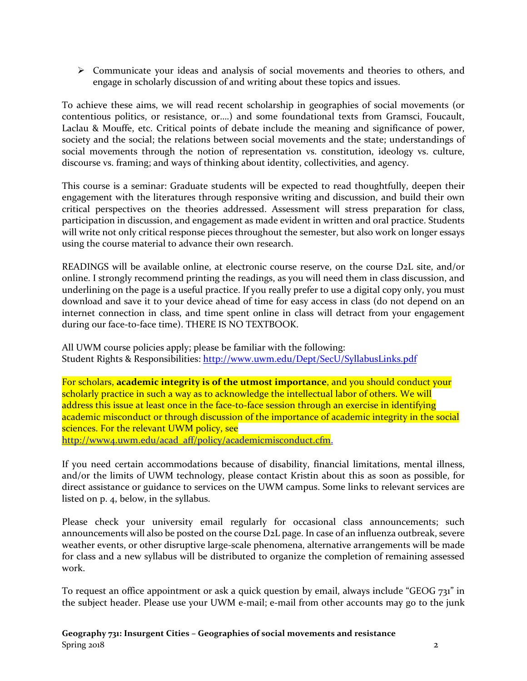Communicate your ideas and analysis of social movements and theories to others, and engage in scholarly discussion of and writing about these topics and issues.

To achieve these aims, we will read recent scholarship in geographies of social movements (or contentious politics, or resistance, or….) and some foundational texts from Gramsci, Foucault, Laclau & Mouffe, etc. Critical points of debate include the meaning and significance of power, society and the social; the relations between social movements and the state; understandings of social movements through the notion of representation vs. constitution, ideology vs. culture, discourse vs. framing; and ways of thinking about identity, collectivities, and agency.

This course is a seminar: Graduate students will be expected to read thoughtfully, deepen their engagement with the literatures through responsive writing and discussion, and build their own critical perspectives on the theories addressed. Assessment will stress preparation for class, participation in discussion, and engagement as made evident in written and oral practice. Students will write not only critical response pieces throughout the semester, but also work on longer essays using the course material to advance their own research.

READINGS will be available online, at electronic course reserve, on the course D2L site, and/or online. I strongly recommend printing the readings, as you will need them in class discussion, and underlining on the page is a useful practice. If you really prefer to use a digital copy only, you must download and save it to your device ahead of time for easy access in class (do not depend on an internet connection in class, and time spent online in class will detract from your engagement during our face-to-face time). THERE IS NO TEXTBOOK.

All UWM course policies apply; please be familiar with the following: Student Rights & Responsibilities:<http://www.uwm.edu/Dept/SecU/SyllabusLinks.pdf>

For scholars, **academic integrity is of the utmost importance**, and you should conduct your scholarly practice in such a way as to acknowledge the intellectual labor of others. We will address this issue at least once in the face-to-face session through an exercise in identifying academic misconduct or through discussion of the importance of academic integrity in the social sciences. For the relevant UWM policy, see [http://www4.uwm.edu/acad\\_aff/policy/academicmisconduct.cfm.](http://www4.uwm.edu/acad_aff/policy/academicmisconduct.cfm)

If you need certain accommodations because of disability, financial limitations, mental illness, and/or the limits of UWM technology, please contact Kristin about this as soon as possible, for direct assistance or guidance to services on the UWM campus. Some links to relevant services are listed on p. 4, below, in the syllabus.

Please check your university email regularly for occasional class announcements; such announcements will also be posted on the course D2L page. In case of an influenza outbreak, severe weather events, or other disruptive large-scale phenomena, alternative arrangements will be made for class and a new syllabus will be distributed to organize the completion of remaining assessed work.

To request an office appointment or ask a quick question by email, always include "GEOG 731" in the subject header. Please use your UWM e-mail; e-mail from other accounts may go to the junk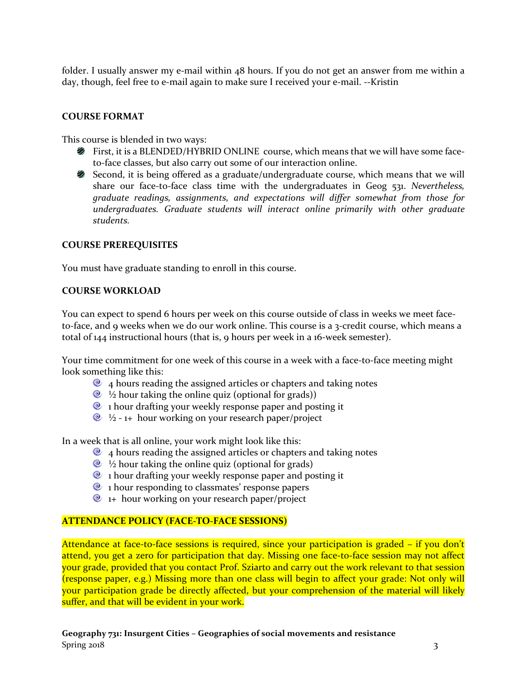folder. I usually answer my e-mail within 48 hours. If you do not get an answer from me within a day, though, feel free to e-mail again to make sure I received your e-mail. --Kristin

### **COURSE FORMAT**

This course is blended in two ways:

- First, it is a BLENDED/HYBRID ONLINE course, which means that we will have some faceto-face classes, but also carry out some of our interaction online.
- Second, it is being offered as a graduate/undergraduate course, which means that we will share our face-to-face class time with the undergraduates in Geog 531. *Nevertheless, graduate readings, assignments, and expectations will differ somewhat from those for undergraduates. Graduate students will interact online primarily with other graduate students.*

#### **COURSE PREREQUISITES**

You must have graduate standing to enroll in this course.

#### **COURSE WORKLOAD**

You can expect to spend 6 hours per week on this course outside of class in weeks we meet faceto-face, and 9 weeks when we do our work online. This course is a 3-credit course, which means a total of 144 instructional hours (that is, 9 hours per week in a 16-week semester).

Your time commitment for one week of this course in a week with a face-to-face meeting might look something like this:

- $\bullet$  4 hours reading the assigned articles or chapters and taking notes
- $\&$  ½ hour taking the online quiz (optional for grads))
- <sup>2</sup> 1 hour drafting your weekly response paper and posting it
- $\&$  ½ 1+ hour working on your research paper/project

In a week that is all online, your work might look like this:

- $\bullet$  4 hours reading the assigned articles or chapters and taking notes
- $\&$  ½ hour taking the online quiz (optional for grads)
- $\bullet$  1 hour drafting your weekly response paper and posting it
- $\bullet$  1 hour responding to classmates' response papers
- $\bullet$  1+ hour working on your research paper/project

#### **ATTENDANCE POLICY (FACE-TO-FACE SESSIONS)**

Attendance at face-to-face sessions is required, since your participation is graded – if you don't attend, you get a zero for participation that day. Missing one face-to-face session may not affect your grade, provided that you contact Prof. Sziarto and carry out the work relevant to that session (response paper, e.g.) Missing more than one class will begin to affect your grade: Not only will your participation grade be directly affected, but your comprehension of the material will likely suffer, and that will be evident in your work.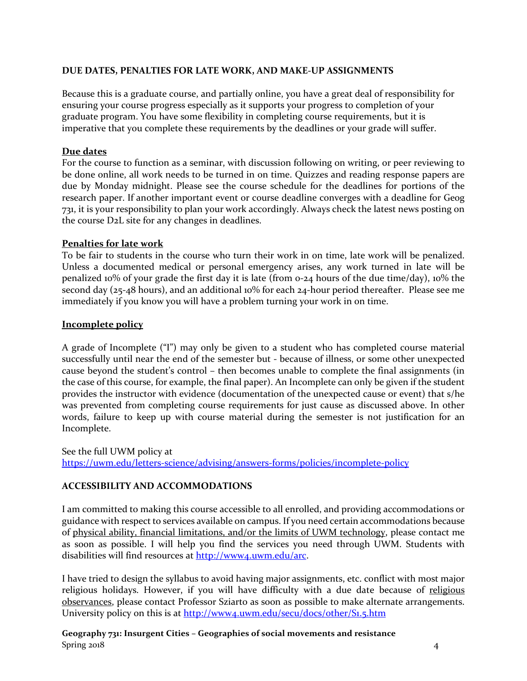## **DUE DATES, PENALTIES FOR LATE WORK, AND MAKE-UP ASSIGNMENTS**

Because this is a graduate course, and partially online, you have a great deal of responsibility for ensuring your course progress especially as it supports your progress to completion of your graduate program. You have some flexibility in completing course requirements, but it is imperative that you complete these requirements by the deadlines or your grade will suffer.

### **Due dates**

For the course to function as a seminar, with discussion following on writing, or peer reviewing to be done online, all work needs to be turned in on time. Quizzes and reading response papers are due by Monday midnight. Please see the course schedule for the deadlines for portions of the research paper. If another important event or course deadline converges with a deadline for Geog 731, it is your responsibility to plan your work accordingly. Always check the latest news posting on the course D2L site for any changes in deadlines.

#### **Penalties for late work**

To be fair to students in the course who turn their work in on time, late work will be penalized. Unless a documented medical or personal emergency arises, any work turned in late will be penalized 10% of your grade the first day it is late (from 0-24 hours of the due time/day), 10% the second day (25-48 hours), and an additional 10% for each 24-hour period thereafter. Please see me immediately if you know you will have a problem turning your work in on time.

#### **Incomplete policy**

A grade of Incomplete ("I") may only be given to a student who has completed course material successfully until near the end of the semester but - because of illness, or some other unexpected cause beyond the student's control – then becomes unable to complete the final assignments (in the case of this course, for example, the final paper). An Incomplete can only be given if the student provides the instructor with evidence (documentation of the unexpected cause or event) that s/he was prevented from completing course requirements for just cause as discussed above. In other words, failure to keep up with course material during the semester is not justification for an Incomplete.

See the full UWM policy at <https://uwm.edu/letters-science/advising/answers-forms/policies/incomplete-policy>

### **ACCESSIBILITY AND ACCOMMODATIONS**

I am committed to making this course accessible to all enrolled, and providing accommodations or guidance with respect to services available on campus. If you need certain accommodations because of physical ability, financial limitations, and/or the limits of UWM technology, please contact me as soon as possible. I will help you find the services you need through UWM. Students with disabilities will find resources at [http://www4.uwm.edu/arc.](http://www4.uwm.edu/arc)

I have tried to design the syllabus to avoid having major assignments, etc. conflict with most major religious holidays. However, if you will have difficulty with a due date because of religious observances, please contact Professor Sziarto as soon as possible to make alternate arrangements. University policy on this is at<http://www4.uwm.edu/secu/docs/other/S1.5.htm>

**Geography 731: Insurgent Cities – Geographies of social movements and resistance** Spring 2018 4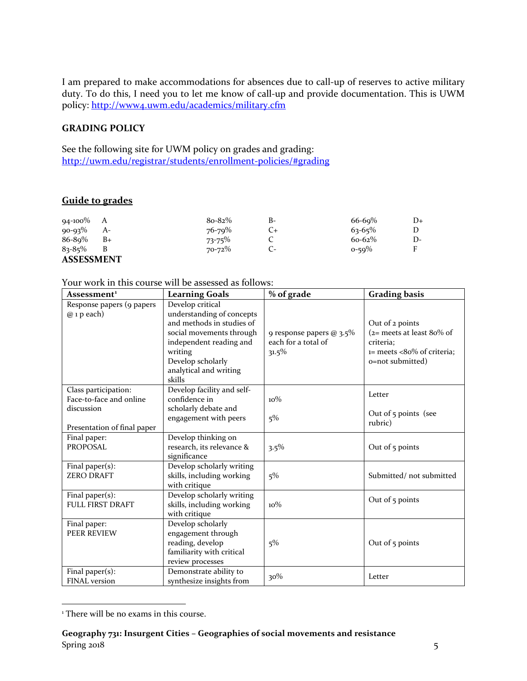I am prepared to make accommodations for absences due to call-up of reserves to active military duty. To do this, I need you to let me know of call-up and provide documentation. This is UWM policy:<http://www4.uwm.edu/academics/military.cfm>

## **GRADING POLICY**

See the following site for UWM policy on grades and grading: <http://uwm.edu/registrar/students/enrollment-policies/#grading>

# **Guide to grades**

| $94-100\%$ A      |      | $8o-82%$    | В- | $66 - 69%$  | D+ |
|-------------------|------|-------------|----|-------------|----|
| $90 - 93\%$       | $A-$ | 76-79%      | Ü+ | $63 - 65\%$ |    |
| 86-89%            | $B+$ | $73 - 75\%$ |    | $60 - 62\%$ | D- |
| $83 - 85\%$       | B    | 70-72%      |    | $0 - 59\%$  | Е  |
| <b>ASSESSMENT</b> |      |             |    |             |    |

#### Your work in this course will be assessed as follows:

| Assessment <sup>1</sup>                         | <b>Learning Goals</b>                                                                                                                                                                                 | % of grade                                                  | <b>Grading basis</b>                                                                                           |
|-------------------------------------------------|-------------------------------------------------------------------------------------------------------------------------------------------------------------------------------------------------------|-------------------------------------------------------------|----------------------------------------------------------------------------------------------------------------|
| Response papers (9 papers<br>$@$ 1 p each)      | Develop critical<br>understanding of concepts<br>and methods in studies of<br>social movements through<br>independent reading and<br>writing<br>Develop scholarly<br>analytical and writing<br>skills | 9 response papers @ 3.5%<br>each for a total of<br>$31.5\%$ | Out of 2 points<br>$(z=meets$ at least 80% of<br>criteria:<br>$i=$ meets <80% of criteria;<br>o=not submitted) |
| Class participation:<br>Face-to-face and online | Develop facility and self-<br>confidence in                                                                                                                                                           | $10\%$                                                      | Letter                                                                                                         |
| discussion<br>Presentation of final paper       | scholarly debate and<br>engagement with peers                                                                                                                                                         | 5%                                                          | Out of 5 points (see<br>rubric)                                                                                |
| Final paper:<br><b>PROPOSAL</b>                 | Develop thinking on<br>research, its relevance &<br>significance                                                                                                                                      | $3.5\%$                                                     | Out of $5$ points                                                                                              |
| Final paper $(s)$ :<br><b>ZERO DRAFT</b>        | Develop scholarly writing<br>skills, including working<br>with critique                                                                                                                               | 5%                                                          | Submitted/not submitted                                                                                        |
| Final paper(s):<br><b>FULL FIRST DRAFT</b>      | Develop scholarly writing<br>skills, including working<br>with critique                                                                                                                               | $10\%$                                                      | Out of $\frac{1}{2}$ points                                                                                    |
| Final paper:<br><b>PEER REVIEW</b>              | Develop scholarly<br>engagement through<br>reading, develop<br>familiarity with critical<br>review processes                                                                                          | 5%                                                          | Out of 5 points                                                                                                |
| Final paper $(s)$ :<br>FINAL version            | Demonstrate ability to<br>synthesize insights from                                                                                                                                                    | 30%                                                         | Letter                                                                                                         |

<span id="page-4-0"></span><sup>&</sup>lt;sup>1</sup> There will be no exams in this course.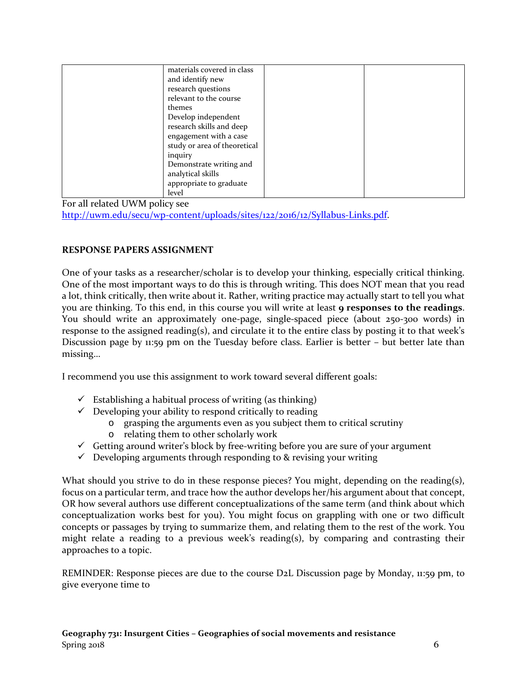| materials covered in class   |  |
|------------------------------|--|
| and identify new             |  |
| research questions           |  |
| relevant to the course       |  |
| themes                       |  |
| Develop independent          |  |
| research skills and deep     |  |
| engagement with a case       |  |
| study or area of theoretical |  |
| inquiry                      |  |
| Demonstrate writing and      |  |
| analytical skills            |  |
| appropriate to graduate      |  |
| level                        |  |

For all related UWM policy see [http://uwm.edu/secu/wp-content/uploads/sites/122/2016/12/Syllabus-Links.pdf.](http://uwm.edu/secu/wp-content/uploads/sites/122/2016/12/Syllabus-Links.pdf)

## **RESPONSE PAPERS ASSIGNMENT**

One of your tasks as a researcher/scholar is to develop your thinking, especially critical thinking. One of the most important ways to do this is through writing. This does NOT mean that you read a lot, think critically, then write about it. Rather, writing practice may actually start to tell you what you are thinking. To this end, in this course you will write at least **9 responses to the readings**. You should write an approximately one-page, single-spaced piece (about 250-300 words) in response to the assigned reading(s), and circulate it to the entire class by posting it to that week's Discussion page by 11:59 pm on the Tuesday before class. Earlier is better – but better late than missing…

I recommend you use this assignment to work toward several different goals:

- $\checkmark$  Establishing a habitual process of writing (as thinking)
- $\checkmark$  Developing your ability to respond critically to reading
	- o grasping the arguments even as you subject them to critical scrutiny
		- o relating them to other scholarly work
- $\checkmark$  Getting around writer's block by free-writing before you are sure of your argument
- $\checkmark$  Developing arguments through responding to & revising your writing

What should you strive to do in these response pieces? You might, depending on the reading(s), focus on a particular term, and trace how the author develops her/his argument about that concept, OR how several authors use different conceptualizations of the same term (and think about which conceptualization works best for you). You might focus on grappling with one or two difficult concepts or passages by trying to summarize them, and relating them to the rest of the work. You might relate a reading to a previous week's reading(s), by comparing and contrasting their approaches to a topic.

REMINDER: Response pieces are due to the course D2L Discussion page by Monday, 11:59 pm, to give everyone time to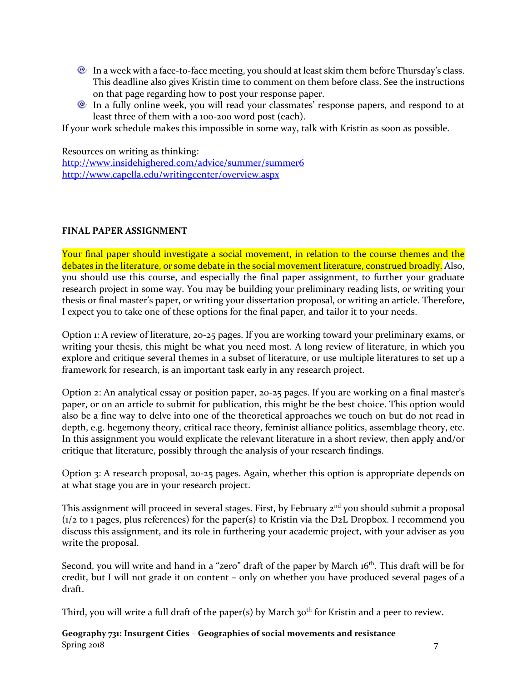- <sup>®</sup> In a week with a face-to-face meeting, you should at least skim them before Thursday's class. This deadline also gives Kristin time to comment on them before class. See the instructions on that page regarding how to post your response paper.
- <sup>2</sup> In a fully online week, you will read your classmates' response papers, and respond to at least three of them with a 100-200 word post (each).

If your work schedule makes this impossible in some way, talk with Kristin as soon as possible.

Resources on writing as thinking:

<http://www.insidehighered.com/advice/summer/summer6> <http://www.capella.edu/writingcenter/overview.aspx>

### **FINAL PAPER ASSIGNMENT**

Your final paper should investigate a social movement, in relation to the course themes and the debates in the literature, or some debate in the social movement literature, construed broadly. Also, you should use this course, and especially the final paper assignment, to further your graduate research project in some way. You may be building your preliminary reading lists, or writing your thesis or final master's paper, or writing your dissertation proposal, or writing an article. Therefore, I expect you to take one of these options for the final paper, and tailor it to your needs.

Option 1: A review of literature, 20-25 pages. If you are working toward your preliminary exams, or writing your thesis, this might be what you need most. A long review of literature, in which you explore and critique several themes in a subset of literature, or use multiple literatures to set up a framework for research, is an important task early in any research project.

Option 2: An analytical essay or position paper, 20-25 pages. If you are working on a final master's paper, or on an article to submit for publication, this might be the best choice. This option would also be a fine way to delve into one of the theoretical approaches we touch on but do not read in depth, e.g. hegemony theory, critical race theory, feminist alliance politics, assemblage theory, etc. In this assignment you would explicate the relevant literature in a short review, then apply and/or critique that literature, possibly through the analysis of your research findings.

Option 3: A research proposal, 20-25 pages. Again, whether this option is appropriate depends on at what stage you are in your research project.

This assignment will proceed in several stages. First, by February 2<sup>nd</sup> you should submit a proposal (1/2 to 1 pages, plus references) for the paper(s) to Kristin via the D2L Dropbox. I recommend you discuss this assignment, and its role in furthering your academic project, with your adviser as you write the proposal.

Second, you will write and hand in a "zero" draft of the paper by March 16<sup>th</sup>. This draft will be for credit, but I will not grade it on content – only on whether you have produced several pages of a draft.

Third, you will write a full draft of the paper(s) by March 30<sup>th</sup> for Kristin and a peer to review.

**Geography 731: Insurgent Cities – Geographies of social movements and resistance** Spring 2018 7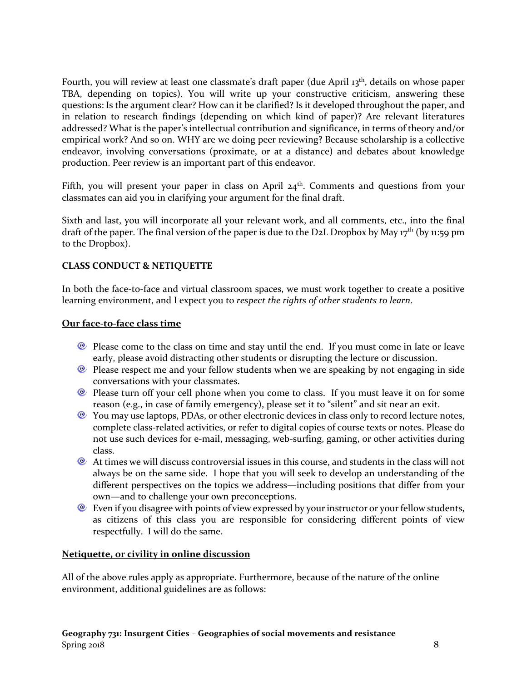Fourth, you will review at least one classmate's draft paper (due April 13<sup>th</sup>, details on whose paper TBA, depending on topics). You will write up your constructive criticism, answering these questions: Is the argument clear? How can it be clarified? Is it developed throughout the paper, and in relation to research findings (depending on which kind of paper)? Are relevant literatures addressed? What is the paper's intellectual contribution and significance, in terms of theory and/or empirical work? And so on. WHY are we doing peer reviewing? Because scholarship is a collective endeavor, involving conversations (proximate, or at a distance) and debates about knowledge production. Peer review is an important part of this endeavor.

Fifth, you will present your paper in class on April  $24<sup>th</sup>$ . Comments and questions from your classmates can aid you in clarifying your argument for the final draft.

Sixth and last, you will incorporate all your relevant work, and all comments, etc., into the final draft of the paper. The final version of the paper is due to the D2L Dropbox by May  $17<sup>th</sup>$  (by 11:59 pm to the Dropbox).

## **CLASS CONDUCT & NETIQUETTE**

In both the face-to-face and virtual classroom spaces, we must work together to create a positive learning environment, and I expect you to *respect the rights of other students to learn*.

#### **Our face-to-face class time**

- Please come to the class on time and stay until the end. If you must come in late or leave early, please avoid distracting other students or disrupting the lecture or discussion.
- **Please respect me and your fellow students when we are speaking by not engaging in side** conversations with your classmates.
- <sup>®</sup> Please turn off your cell phone when you come to class. If you must leave it on for some reason (e.g., in case of family emergency), please set it to "silent" and sit near an exit.
- <sup>2</sup> You may use laptops, PDAs, or other electronic devices in class only to record lecture notes, complete class-related activities, or refer to digital copies of course texts or notes. Please do not use such devices for e-mail, messaging, web-surfing, gaming, or other activities during class.
- $\bullet$  At times we will discuss controversial issues in this course, and students in the class will not always be on the same side. I hope that you will seek to develop an understanding of the different perspectives on the topics we address—including positions that differ from your own—and to challenge your own preconceptions.
- $\bullet$  Even if you disagree with points of view expressed by your instructor or your fellow students, as citizens of this class you are responsible for considering different points of view respectfully. I will do the same.

### **Netiquette, or civility in online discussion**

All of the above rules apply as appropriate. Furthermore, because of the nature of the online environment, additional guidelines are as follows: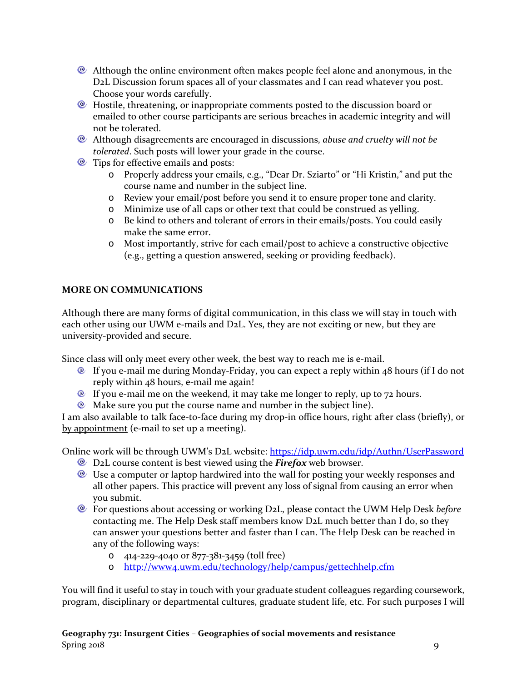- Although the online environment often makes people feel alone and anonymous, in the D2L Discussion forum spaces all of your classmates and I can read whatever you post. Choose your words carefully.
- Hostile, threatening, or inappropriate comments posted to the discussion board or emailed to other course participants are serious breaches in academic integrity and will not be tolerated.
- Although disagreements are encouraged in discussions, *abuse and cruelty will not be tolerated*. Such posts will lower your grade in the course.
- **E** Tips for effective emails and posts:
	- o Properly address your emails, e.g., "Dear Dr. Sziarto" or "Hi Kristin," and put the course name and number in the subject line.
	- o Review your email/post before you send it to ensure proper tone and clarity.
	- o Minimize use of all caps or other text that could be construed as yelling.
	- o Be kind to others and tolerant of errors in their emails/posts. You could easily make the same error.
	- o Most importantly, strive for each email/post to achieve a constructive objective (e.g., getting a question answered, seeking or providing feedback).

# **MORE ON COMMUNICATIONS**

Although there are many forms of digital communication, in this class we will stay in touch with each other using our UWM e-mails and D2L. Yes, they are not exciting or new, but they are university-provided and secure.

Since class will only meet every other week, the best way to reach me is e-mail.

- If you e-mail me during Monday-Friday, you can expect a reply within 48 hours (if I do not reply within 48 hours, e-mail me again!
- $\bullet$  If you e-mail me on the weekend, it may take me longer to reply, up to 72 hours.
- $\bullet$  Make sure you put the course name and number in the subject line).

I am also available to talk face-to-face during my drop-in office hours, right after class (briefly), or by appointment (e-mail to set up a meeting).

Online work will be through UWM's D2L website:<https://idp.uwm.edu/idp/Authn/UserPassword>

- D2L course content is best viewed using the *Firefox* web browser.
- Use a computer or laptop hardwired into the wall for posting your weekly responses and all other papers. This practice will prevent any loss of signal from causing an error when you submit.
- For questions about accessing or working D2L, please contact the UWM Help Desk *before*  contacting me. The Help Desk staff members know D2L much better than I do, so they can answer your questions better and faster than I can. The Help Desk can be reached in any of the following ways:
	- o 414-229-4040 or 877-381-3459 (toll free)
	- o <http://www4.uwm.edu/technology/help/campus/gettechhelp.cfm>

You will find it useful to stay in touch with your graduate student colleagues regarding coursework, program, disciplinary or departmental cultures, graduate student life, etc. For such purposes I will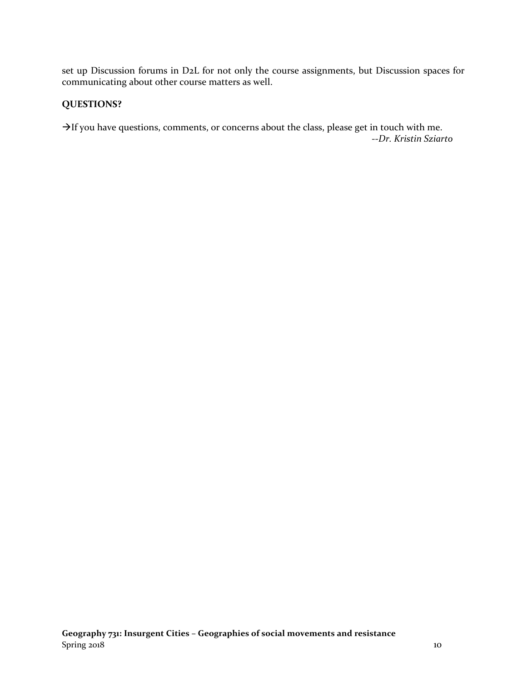set up Discussion forums in D2L for not only the course assignments, but Discussion spaces for communicating about other course matters as well.

## **QUESTIONS?**

 $\rightarrow$  If you have questions, comments, or concerns about the class, please get in touch with me. --*Dr. Kristin Sziarto*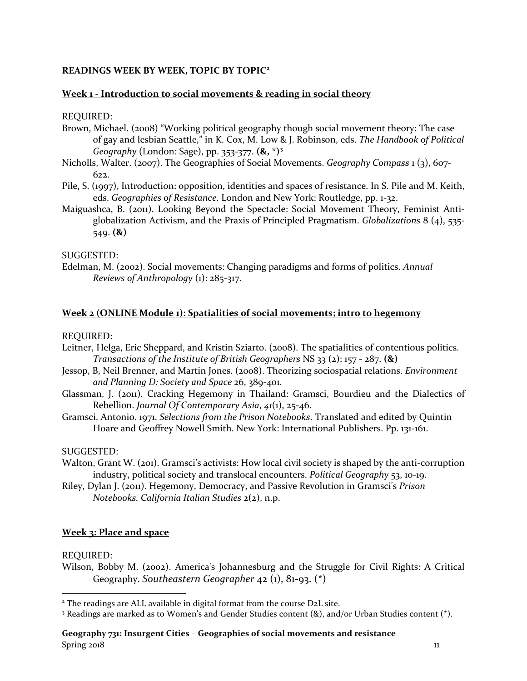## **READINGS WEEK BY WEEK, TOPIC BY TOPIC[2](#page-10-0)**

#### **Week 1 - Introduction to social movements & reading in social theory**

#### REQUIRED:

- Brown, Michael. (2008) "Working political geography though social movement theory: The case of gay and lesbian Seattle," in K. Cox, M. Low & J. Robinson, eds. *The Handbook of Political Geography* (London: Sage), pp. 353-377. **(&, \*)[3](#page-10-1)**
- Nicholls, Walter. (2007). The Geographies of Social Movements. *Geography Compass* 1 (3), 607-  $622.$
- Pile, S. (1997), Introduction: opposition, identities and spaces of resistance. In S. Pile and M. Keith, eds. *Geographies of Resistance*. London and New York: Routledge, pp. 1-32.
- Maiguashca, B. (2011). Looking Beyond the Spectacle: Social Movement Theory, Feminist Antiglobalization Activism, and the Praxis of Principled Pragmatism. *Globalizations* 8 (4), 535- 549. **(&)**

#### SUGGESTED:

Edelman, M. (2002). Social movements: Changing paradigms and forms of politics. *Annual Reviews of Anthropology* (1): 285-317.

#### **Week 2 (ONLINE Module 1): Spatialities of social movements; intro to hegemony**

#### REQUIRED:

- Leitner, Helga, Eric Sheppard, and Kristin Sziarto. (2008). The spatialities of contentious politics. *Transactions of the Institute of British Geographers* NS 33 (2): 157 - 287. **(&)**
- Jessop, B, Neil Brenner, and Martin Jones. (2008). Theorizing sociospatial relations. *Environment and Planning D: Society and Space* 26, 389-401.
- Glassman, J. (2011). Cracking Hegemony in Thailand: Gramsci, Bourdieu and the Dialectics of Rebellion. *Journal Of Contemporary Asia*, *41*(1), 25-46.
- Gramsci, Antonio. 1971. *Selections from the Prison Notebooks*. Translated and edited by Quintin Hoare and Geoffrey Nowell Smith. New York: International Publishers. Pp. 131-161.

#### SUGGESTED:

- Walton, Grant W. (201). Gramsci's activists: How local civil society is shaped by the anti-corruption industry, political society and translocal encounters. *Political Geography* 53, 10-19.
- Riley, Dylan J. (2011). Hegemony, Democracy, and Passive Revolution in Gramsci's *Prison Notebooks. California Italian Studies* 2(2), n.p.

### **Week 3: Place and space**

#### REQUIRED:

Wilson, Bobby M. (2002). America's Johannesburg and the Struggle for Civil Rights: A Critical Geography. *Southeastern Geographer* 42 (1), 81-93. (\*)

<span id="page-10-0"></span><sup>&</sup>lt;sup>2</sup> The readings are ALL available in digital format from the course D2L site.

<span id="page-10-1"></span><sup>3</sup> Readings are marked as to Women's and Gender Studies content (&), and/or Urban Studies content (\*).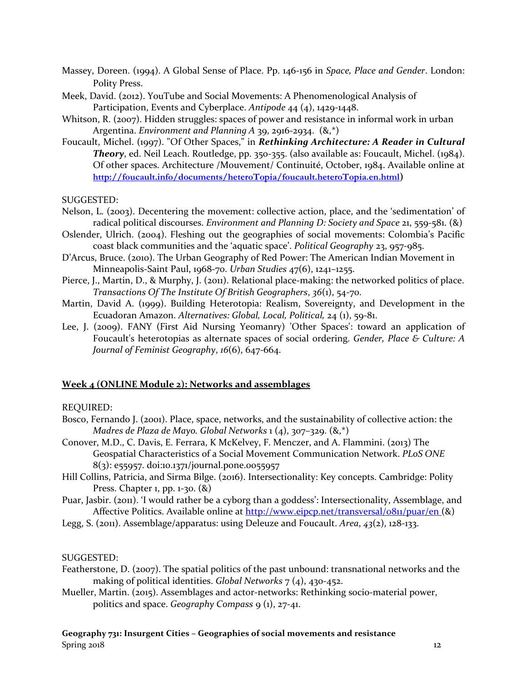- Massey, Doreen. (1994). A Global Sense of Place. Pp. 146-156 in *Space, Place and Gender*. London: Polity Press.
- Meek, David. (2012). YouTube and Social Movements: A Phenomenological Analysis of Participation, Events and Cyberplace. *Antipode* 44 (4), 1429-1448.
- Whitson, R. (2007). Hidden struggles: spaces of power and resistance in informal work in urban Argentina. *Environment and Planning A* 39, 2916-2934. (&,\*)
- Foucault, Michel. (1997). "Of Other Spaces," in *Rethinking Architecture: A Reader in Cultural Theory*, ed. Neil Leach. Routledge, pp. 350-355. (also available as: Foucault, Michel. (1984). Of other spaces. Architecture /Mouvement/ Continuité, October, 1984. Available online at **<http://foucault.info/documents/heteroTopia/foucault.heteroTopia.en.html>)**

SUGGESTED:

- Nelson, L. (2003). Decentering the movement: collective action, place, and the 'sedimentation' of radical political discourses. *Environment and Planning D: Society and Space* 21, 559-581. (&)
- Oslender, Ulrich. (2004). Fleshing out the geographies of social movements: Colombia's Pacific coast black communities and the 'aquatic space'. *Political Geography* 23, 957-985.
- D'Arcus, Bruce. (2010). The Urban Geography of Red Power: The American Indian Movement in Minneapolis-Saint Paul, 1968-70. *Urban Studies* 47(6), 1241–1255.
- Pierce, J., Martin, D., & Murphy, J. (2011). Relational place-making: the networked politics of place. *Transactions Of The Institute Of British Geographers*, *36*(1), 54-70.
- Martin, David A. (1999). Building Heterotopia: Realism, Sovereignty, and Development in the Ecuadoran Amazon. *Alternatives: Global, Local, Political,* 24 (1), 59-81.
- Lee, J. (2009). FANY (First Aid Nursing Yeomanry) 'Other Spaces': toward an application of Foucault's heterotopias as alternate spaces of social ordering. *Gender, Place & Culture: A Journal of Feminist Geography*, *16*(6), 647-664.

#### **Week 4 (ONLINE Module 2): Networks and assemblages**

#### REQUIRED:

- Bosco, Fernando J. (2001). Place, space, networks, and the sustainability of collective action: the *Madres de Plaza de Mayo. Global Networks* 1 (4), 307–329. (&,\*)
- Conover, M.D., C. Davis, E. Ferrara, K McKelvey, F. Menczer, and A. Flammini. (2013) The Geospatial Characteristics of a Social Movement Communication Network. *PLoS ONE* 8(3): e55957. doi:10.1371/journal.pone.0055957
- Hill Collins, Patricia, and Sirma Bilge. (2016). Intersectionality: Key concepts. Cambridge: Polity Press. Chapter 1, pp. 1-30. (&)
- Puar, Jasbir. (2011). 'I would rather be a cyborg than a goddess': Intersectionality, Assemblage, and Affective Politics. Available online at<http://www.eipcp.net/transversal/0811/puar/en> (&)
- Legg, S. (2011). Assemblage/apparatus: using Deleuze and Foucault. *Area*, *43*(2), 128-133.

SUGGESTED:

- Featherstone, D. (2007). The spatial politics of the past unbound: transnational networks and the making of political identities. *Global Networks* 7 (4), 430-452.
- Mueller, Martin. (2015). Assemblages and actor-networks: Rethinking socio-material power, politics and space. *Geography Compass* 9 (1), 27-41.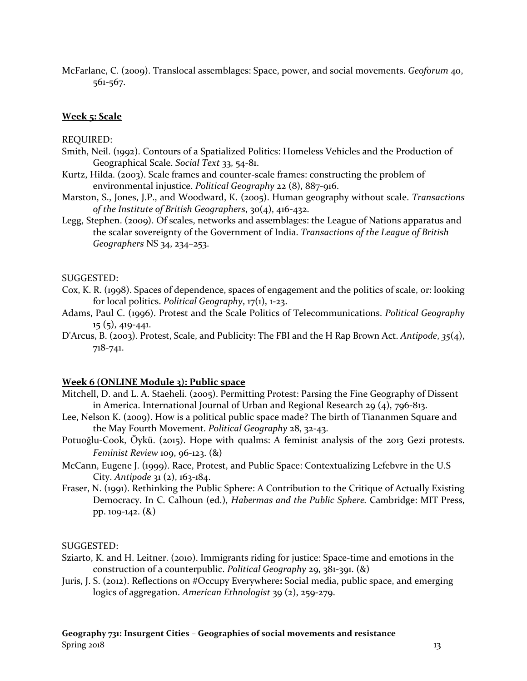McFarlane, C. (2009). Translocal assemblages: Space, power, and social movements. *Geoforum* 40, 561-567.

#### **Week 5: Scale**

#### REQUIRED:

- Smith, Neil. (1992). Contours of a Spatialized Politics: Homeless Vehicles and the Production of Geographical Scale. *Social Text* 33, 54-81.
- Kurtz, Hilda. (2003). Scale frames and counter-scale frames: constructing the problem of environmental injustice. *Political Geography* 22 (8), 887-916.
- Marston, S., Jones, J.P., and Woodward, K. (2005). Human geography without scale. *Transactions of the Institute of British Geographers*, 30(4), 416-432.
- Legg, Stephen. (2009). Of scales, networks and assemblages: the League of Nations apparatus and the scalar sovereignty of the Government of India. *Transactions of the League of British Geographers* NS 34, 234–253.

#### SUGGESTED:

- Cox, K. R. (1998). Spaces of dependence, spaces of engagement and the politics of scale, or: looking for local politics. *Political Geography*, 17(1), 1-23.
- Adams, Paul C. (1996). Protest and the Scale Politics of Telecommunications. *Political Geography* 15 (5), 419-441.
- D'Arcus, B. (2003). Protest, Scale, and Publicity: The FBI and the H Rap Brown Act. *Antipode*, *35*(4), 718-741.

#### **Week 6 (ONLINE Module 3): Public space**

- Mitchell, D. and L. A. Staeheli. (2005). Permitting Protest: Parsing the Fine Geography of Dissent in America. International Journal of Urban and Regional Research 29 (4), 796-813.
- Lee, Nelson K. (2009). How is a political public space made? The birth of Tiananmen Square and the May Fourth Movement. *Political Geography* 28, 32-43.
- Potuoğlu-Cook, Öykü. (2015). Hope with qualms: A feminist analysis of the 2013 Gezi protests. *Feminist Review* 109, 96-123. (&)
- McCann, Eugene J. (1999). Race, Protest, and Public Space: Contextualizing Lefebvre in the U.S City. *Antipode* 31 (2), 163-184.
- Fraser, N. (1991). Rethinking the Public Sphere: A Contribution to the Critique of Actually Existing Democracy. In C. Calhoun (ed.), *Habermas and the Public Sphere.* Cambridge: MIT Press, pp. 109-142. (&)

#### SUGGESTED:

- Sziarto, K. and H. Leitner. (2010). Immigrants riding for justice: Space-time and emotions in the construction of a counterpublic. *Political Geography* 29, 381-391. (&)
- Juris, J. S. (2012). Reflections on #Occupy Everywhere**:** Social media, public space, and emerging logics of aggregation. *American Ethnologist* 39 (2), 259-279.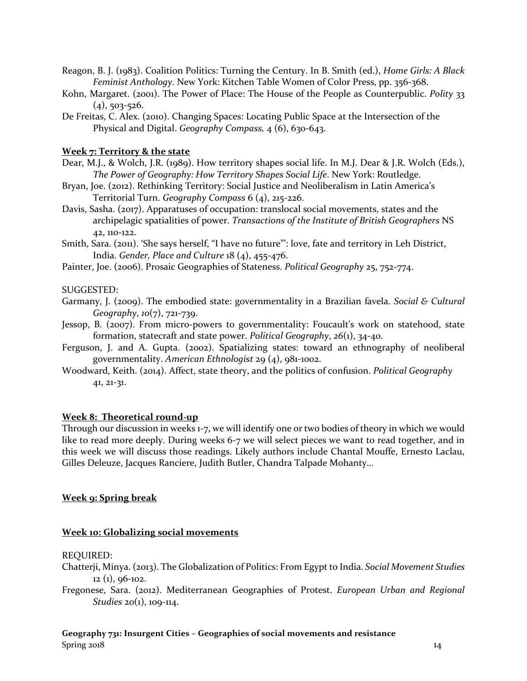- Reagon, B. J. (1983). Coalition Politics: Turning the Century. In B. Smith (ed.), *Home Girls: A Black Feminist Anthology*. New York: Kitchen Table Women of Color Press, pp. 356-368.
- Kohn, Margaret. (2001). The Power of Place: The House of the People as Counterpublic. *Polity* 33  $(4)$ , 503-526.
- De Freitas, C. Alex. (2010). Changing Spaces: Locating Public Space at the Intersection of the Physical and Digital. *Geography Compass,* 4 (6), 630-643.

## **Week 7: Territory & the state**

- Dear, M.J., & Wolch, J.R. (1989). How territory shapes social life. In M.J. Dear & J.R. Wolch (Eds.), *The Power of Geography: How Territory Shapes Social Life*. New York: Routledge.
- Bryan, Joe. (2012). Rethinking Territory: Social Justice and Neoliberalism in Latin America's Territorial Turn. *Geography Compass* 6 (4), 215-226.
- Davis, Sasha. (2017). Apparatuses of occupation: translocal social movements, states and the archipelagic spatialities of power. *Transactions of the Institute of British Geographers* NS 42, 110-122.
- Smith, Sara. (2011). 'She says herself, "I have no future"': love, fate and territory in Leh District, India. *Gender, Place and Culture* 18 (4), 455-476.
- Painter, Joe. (2006). Prosaic Geographies of Stateness. *Political Geography* 25, 752-774.

### SUGGESTED:

- Garmany, J. (2009). The embodied state: governmentality in a Brazilian favela. *Social & Cultural Geography*, *10*(7), 721-739.
- Jessop, B. (2007). From micro-powers to governmentality: Foucault's work on statehood, state formation, statecraft and state power. *Political Geography*, *26*(1), 34-40.
- Ferguson, J. and A. Gupta. (2002). Spatializing states: toward an ethnography of neoliberal governmentality. *American Ethnologist* 29 (4), 981-1002.
- Woodward, Keith. (2014). Affect, state theory, and the politics of confusion. *Political Geography* 41, 21-31.

### **Week 8: Theoretical round-up**

Through our discussion in weeks 1-7, we will identify one or two bodies of theory in which we would like to read more deeply. During weeks 6-7 we will select pieces we want to read together, and in this week we will discuss those readings. Likely authors include Chantal Mouffe, Ernesto Laclau, Gilles Deleuze, Jacques Ranciere, Judith Butler, Chandra Talpade Mohanty…

### **Week 9: Spring break**

### **Week 10: Globalizing social movements**

#### REQUIRED:

- Chatterji, Minya. (2013). The Globalization of Politics: From Egypt to India. *Social Movement Studies* 12 (1), 96-102.
- Fregonese, Sara. (2012). Mediterranean Geographies of Protest. *European Urban and Regional Studies* 20(1), 109-114.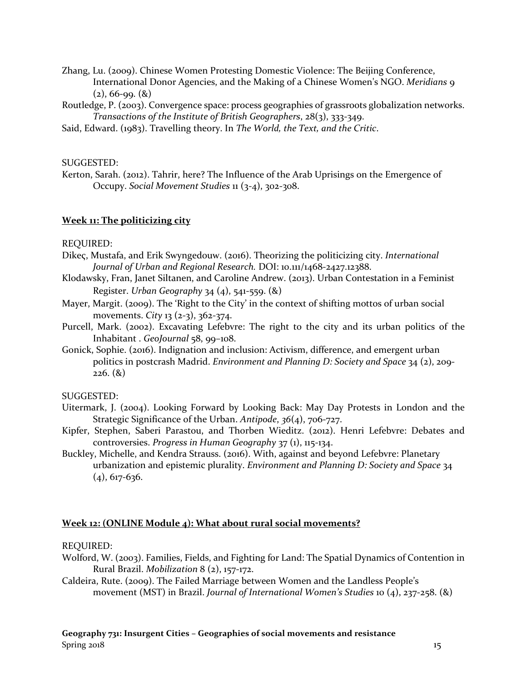Zhang, Lu. (2009). Chinese Women Protesting Domestic Violence: The Beijing Conference, International Donor Agencies, and the Making of a Chinese Women's NGO. *Meridians* 9  $(2), 66$ -99.  $(8)$ 

Routledge, P. (2003). Convergence space: process geographies of grassroots globalization networks. *Transactions of the Institute of British Geographers*, 28(3), 333-349.

Said, Edward. (1983). Travelling theory. In *The World, the Text, and the Critic*.

#### SUGGESTED:

Kerton, Sarah. (2012). Tahrir, here? The Influence of the Arab Uprisings on the Emergence of Occupy. *Social Movement Studies* 11 (3-4), 302-308.

#### **Week 11: The politicizing city**

#### REQUIRED:

- Dikeς, Mustafa, and Erik Swyngedouw. (2016). Theorizing the politicizing city. *International Journal of Urban and Regional Research.* DOI: 10.111/1468-2427.12388.
- Klodawsky, Fran, Janet Siltanen, and Caroline Andrew. (2013). Urban Contestation in a Feminist Register. *Urban Geography* 34 (4), 541-559. (&)
- Mayer, Margit. (2009). The 'Right to the City' in the context of shifting mottos of urban social movements. *City* 13 (2-3), 362-374.
- Purcell, Mark. (2002). Excavating Lefebvre: The right to the city and its urban politics of the Inhabitant . *GeoJournal* 58, 99–108.
- Gonick, Sophie. (2016). Indignation and inclusion: Activism, difference, and emergent urban politics in postcrash Madrid. *Environment and Planning D: Society and Space* 34 (2), 209- 226. (&)

#### SUGGESTED:

- Uitermark, J. (2004). Looking Forward by Looking Back: May Day Protests in London and the Strategic Significance of the Urban. *Antipode*, *36*(4), 706-727.
- Kipfer, Stephen, Saberi Parastou, and Thorben Wieditz. (2012). Henri Lefebvre: Debates and controversies. *Progress in Human Geography* 37 (1), 115-134.
- Buckley, Michelle, and Kendra Strauss. (2016). With, against and beyond Lefebvre: Planetary urbanization and epistemic plurality. *Environment and Planning D: Society and Space* 34  $(4)$ , 617-636.

#### **Week 12: (ONLINE Module 4): What about rural social movements?**

#### REQUIRED:

- Wolford, W. (2003). Families, Fields, and Fighting for Land: The Spatial Dynamics of Contention in Rural Brazil. *Mobilization* 8 (2), 157-172.
- Caldeira, Rute. (2009). The Failed Marriage between Women and the Landless People's movement (MST) in Brazil. *Journal of International Women's Studies* 10 (4), 237-258. (&)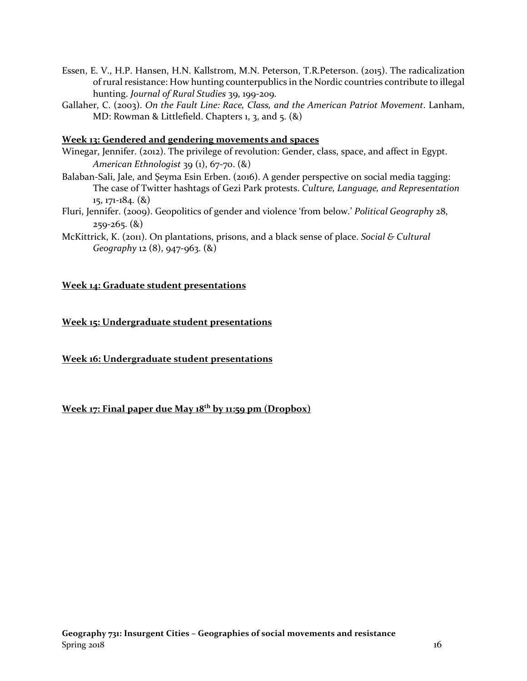- Essen, E. V., H.P. Hansen, H.N. Kallstrom, M.N. Peterson, T.R.Peterson. (2015). The radicalization of rural resistance: How hunting counterpublics in the Nordic countries contribute to illegal hunting. *Journal of Rural Studies* 39, 199-209.
- Gallaher, C. (2003). *On the Fault Line: Race, Class, and the American Patriot Movement*. Lanham, MD: Rowman & Littlefield. Chapters 1, 3, and 5. (&)

### **Week 13: Gendered and gendering movements and spaces**

- Winegar, Jennifer. (2012). The privilege of revolution: Gender, class, space, and affect in Egypt. *American Ethnologist* 39 (1), 67-70. (&)
- Balaban-Sali, Jale, and Şeyma Esin Erben. (2016). A gender perspective on social media tagging: The case of Twitter hashtags of Gezi Park protests. *Culture, Language, and Representation* 15, 171-184. (&)
- Fluri, Jennifer. (2009). Geopolitics of gender and violence 'from below.' *Political Geography* 28,  $259 - 265.$   $(8)$
- McKittrick, K. (2011). On plantations, prisons, and a black sense of place. *Social & Cultural Geography* 12 (8), 947-963. (&)

#### **Week 14: Graduate student presentations**

**Week 15: Undergraduate student presentations**

**Week 16: Undergraduate student presentations**

**Week 17: Final paper due May 18th by 11:59 pm (Dropbox)**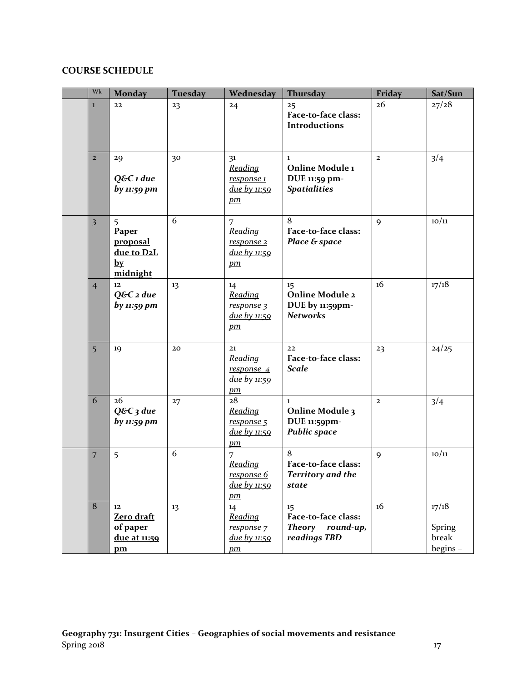# **COURSE SCHEDULE**

| Wk                      | <b>Monday</b>                                                               | Tuesday | Wednesday                                             | Thursday                                                                        | Friday         | Sat/Sun                             |
|-------------------------|-----------------------------------------------------------------------------|---------|-------------------------------------------------------|---------------------------------------------------------------------------------|----------------|-------------------------------------|
| $\mathbf{I}$            | 22                                                                          | 23      | 24                                                    | 25<br>Face-to-face class:<br><b>Introductions</b>                               | 26             | 27/28                               |
| $\overline{2}$          | 29<br>Q&C 1 due<br>by 11:59 pm                                              | 30      | 31<br>Reading<br>response 1<br>due by 11:59<br>$p$ m  | $\mathbf{I}$<br>Online Module 1<br>DUE 11:59 pm-<br><b>Spatialities</b>         | $\overline{2}$ | 3/4                                 |
| $\overline{\mathbf{3}}$ | 5<br>Paper<br>proposal<br>due to D2L<br>$by$<br>midnight                    | 6       | 7<br>Reading<br>response 2<br>due by 11:59<br>$p$ m   | 8<br>Face-to-face class:<br>Place & space                                       | 9              | 10/11                               |
| $\overline{4}$          | 12<br>$Q\&C$ 2 due<br>by 11:59 pm                                           | 13      | 14<br>Reading<br>response 3<br>due by 11:59<br>$p$ m  | 15 <sub>1</sub><br><b>Online Module 2</b><br>DUE by 11:59pm-<br><b>Networks</b> | 16             | 17/18                               |
| $\overline{5}$          | 19                                                                          | 20      | 21<br>Reading<br>response 4<br>due by 11:59<br>$p$ m  | 22<br>Face-to-face class:<br><b>Scale</b>                                       | 23             | 24/25                               |
| 6                       | 26<br>$Q&C_3$ due<br>by 11:59 pm                                            | 27      | 28<br>Reading<br>response 5<br>due by 11:59<br>$p$ m  | $\mathbf{1}$<br><b>Online Module 3</b><br>DUE 11:59pm-<br><b>Public space</b>   | $\mathbf{2}$   | 3/4                                 |
| $\overline{7}$          | 5                                                                           | 6       | 7<br>Reading<br>response 6<br>due by $11:59$<br>$p$ m | 8<br>Face-to-face class:<br><b>Territory and the</b><br>state                   | 9              | 10/11                               |
| $\bf 8$                 | $12 \overline{ }$<br>Zero draft<br>of paper<br><u>due at 11:59</u><br>$p$ m | 13      | 14<br>Reading<br>response 7<br>due by 11:59<br>$p$ m  | 15<br>Face-to-face class:<br><b>Theory</b><br>round-up,<br>readings TBD         | 16             | 17/18<br>Spring<br>break<br>begins- |